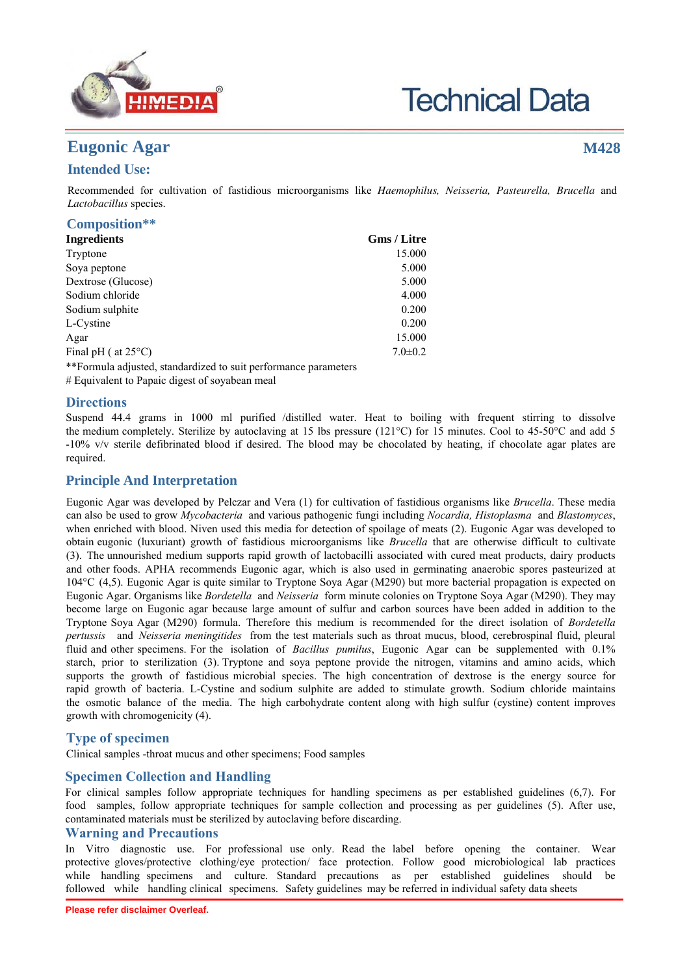

# **Technical Data**

# **Eugonic Agar**

# **M428**

# **Intended Use:**

Recommended for cultivation of fastidious microorganisms like *Haemophilus, Neisseria, Pasteurella, Brucella* and *Lactobacillus* species.

| Composition**                 |                    |
|-------------------------------|--------------------|
| <b>Ingredients</b>            | <b>Gms</b> / Litre |
| Tryptone                      | 15.000             |
| Soya peptone                  | 5.000              |
| Dextrose (Glucose)            | 5.000              |
| Sodium chloride               | 4.000              |
| Sodium sulphite               | 0.200              |
| L-Cystine                     | 0.200              |
| Agar                          | 15.000             |
| Final pH ( $at 25^{\circ}$ C) | $7.0 \pm 0.2$      |
|                               |                    |

\*\*Formula adjusted, standardized to suit performance parameters

# Equivalent to Papaic digest of soyabean meal

## **Directions**

Suspend 44.4 grams in 1000 ml purified /distilled water. Heat to boiling with frequent stirring to dissolve the medium completely. Sterilize by autoclaving at 15 lbs pressure (121°C) for 15 minutes. Cool to 45-50°C and add 5 -10% v/v sterile defibrinated blood if desired. The blood may be chocolated by heating, if chocolate agar plates are required.

# **Principle And Interpretation**

Eugonic Agar was developed by Pelczar and Vera (1) for cultivation of fastidious organisms like *Brucella*. These media can also be used to grow *Mycobacteria* and various pathogenic fungi including *Nocardia, Histoplasma* and *Blastomyces*, when enriched with blood. Niven used this media for detection of spoilage of meats (2). Eugonic Agar was developed to obtain eugonic (luxuriant) growth of fastidious microorganisms like *Brucella* that are otherwise difficult to cultivate (3). The unnourished medium supports rapid growth of lactobacilli associated with cured meat products, dairy products and other foods. APHA recommends Eugonic agar, which is also used in germinating anaerobic spores pasteurized at 104°C (4,5). Eugonic Agar is quite similar to Tryptone Soya Agar (M290) but more bacterial propagation is expected on Eugonic Agar. Organisms like *Bordetella* and *Neisseria* form minute colonies on Tryptone Soya Agar (M290). They may become large on Eugonic agar because large amount of sulfur and carbon sources have been added in addition to the Tryptone Soya Agar (M290) formula. Therefore this medium is recommended for the direct isolation of *Bordetella pertussis* and *Neisseria meningitides* from the test materials such as throat mucus, blood, cerebrospinal fluid, pleural fluid and other specimens. For the isolation of *Bacillus pumilus*, Eugonic Agar can be supplemented with 0.1% starch, prior to sterilization (3). Tryptone and soya peptone provide the nitrogen, vitamins and amino acids, which supports the growth of fastidious microbial species. The high concentration of dextrose is the energy source for rapid growth of bacteria. L-Cystine and sodium sulphite are added to stimulate growth. Sodium chloride maintains the osmotic balance of the media. The high carbohydrate content along with high sulfur (cystine) content improves growth with chromogenicity (4).

# **Type of specimen**

Clinical samples -throat mucus and other specimens; Food samples

## **Specimen Collection and Handling**

For clinical samples follow appropriate techniques for handling specimens as per established guidelines (6,7). For food samples, follow appropriate techniques for sample collection and processing as per guidelines (5). After use, contaminated materials must be sterilized by autoclaving before discarding.

## **Warning and Precautions**

In Vitro diagnostic use. For professional use only. Read the label before opening the container. Wear protective gloves/protective clothing/eye protection/ face protection. Follow good microbiological lab practices while handling specimens and culture. Standard precautions as per established guidelines should be followed while handling clinical specimens. Safety guidelines may be referred in individual safety data sheets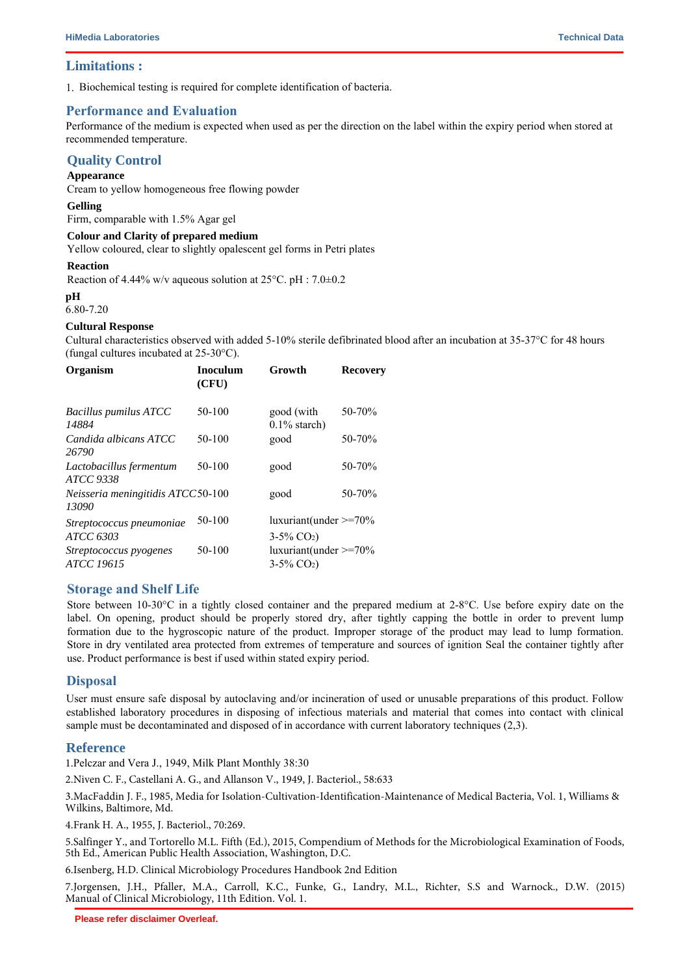#### **Limitations :**

1. Biochemical testing is required for complete identification of bacteria.

## **Performance and Evaluation**

Performance of the medium is expected when used as per the direction on the label within the expiry period when stored at recommended temperature.

## **Quality Control**

#### **Appearance**

Cream to yellow homogeneous free flowing powder

**Gelling**

Firm, comparable with 1.5% Agar gel

#### **Colour and Clarity of prepared medium**

Yellow coloured, clear to slightly opalescent gel forms in Petri plates

#### **Reaction**

Reaction of 4.44% w/v aqueous solution at  $25^{\circ}$ C. pH :  $7.0\pm0.2$ 

#### **pH**

6.80-7.20

#### **Cultural Response**

Cultural characteristics observed with added 5-10% sterile defibrinated blood after an incubation at 35-37°C for 48 hours (fungal cultures incubated at 25-30°C).

| Organism                                   | <b>Inoculum</b><br>(CFU) | Growth                                                   | <b>Recovery</b> |
|--------------------------------------------|--------------------------|----------------------------------------------------------|-----------------|
| Bacillus pumilus ATCC<br>14884             | 50-100                   | good (with<br>$0.1\%$ starch)                            | 50-70%          |
| Candida albicans ATCC<br>26790             | 50-100                   | good                                                     | 50-70%          |
| Lactobacillus fermentum<br>ATCC 9338       | 50-100                   | good                                                     | 50-70%          |
| Neisseria meningitidis ATCC50-100<br>13090 |                          | good                                                     | $50 - 70%$      |
| Streptococcus pneumoniae<br>ATCC 6303      | 50-100                   | $luxuriant(under \geq 70\%$<br>$3-5\%$ CO <sub>2</sub> ) |                 |
| Streptococcus pyogenes<br>ATCC 19615       | 50-100                   | $luxuriant(under \geq 70\%$<br>$3-5\%$ CO <sub>2</sub> ) |                 |

## **Storage and Shelf Life**

Store between 10-30°C in a tightly closed container and the prepared medium at 2-8°C. Use before expiry date on the label. On opening, product should be properly stored dry, after tightly capping the bottle in order to prevent lump formation due to the hygroscopic nature of the product. Improper storage of the product may lead to lump formation. Store in dry ventilated area protected from extremes of temperature and sources of ignition Seal the container tightly after use. Product performance is best if used within stated expiry period.

## **Disposal**

User must ensure safe disposal by autoclaving and/or incineration of used or unusable preparations of this product. Follow established laboratory procedures in disposing of infectious materials and material that comes into contact with clinical sample must be decontaminated and disposed of in accordance with current laboratory techniques (2,3).

## **Reference**

1.Pelczar and Vera J., 1949, Milk Plant Monthly 38:30

2.Niven C. F., Castellani A. G., and Allanson V., 1949, J. Bacteriol., 58:633

3.MacFaddin J. F., 1985, Media for Isolation-Cultivation-Identification-Maintenance of Medical Bacteria, Vol. 1, Williams & Wilkins, Baltimore, Md.

4.Frank H. A., 1955, J. Bacteriol., 70:269.

5.Salfinger Y., and Tortorello M.L. Fifth (Ed.), 2015, Compendium of Methods for the Microbiological Examination of Foods, 5th Ed., American Public Health Association, Washington, D.C.

6.Isenberg, H.D. Clinical Microbiology Procedures Handbook 2nd Edition

7.Jorgensen, J.H., Pfaller, M.A., Carroll, K.C., Funke, G., Landry, M.L., Richter, S.S and Warnock., D.W. (2015) Manual of Clinical Microbiology, 11th Edition. Vol. 1.

**Please refer disclaimer Overleaf.**